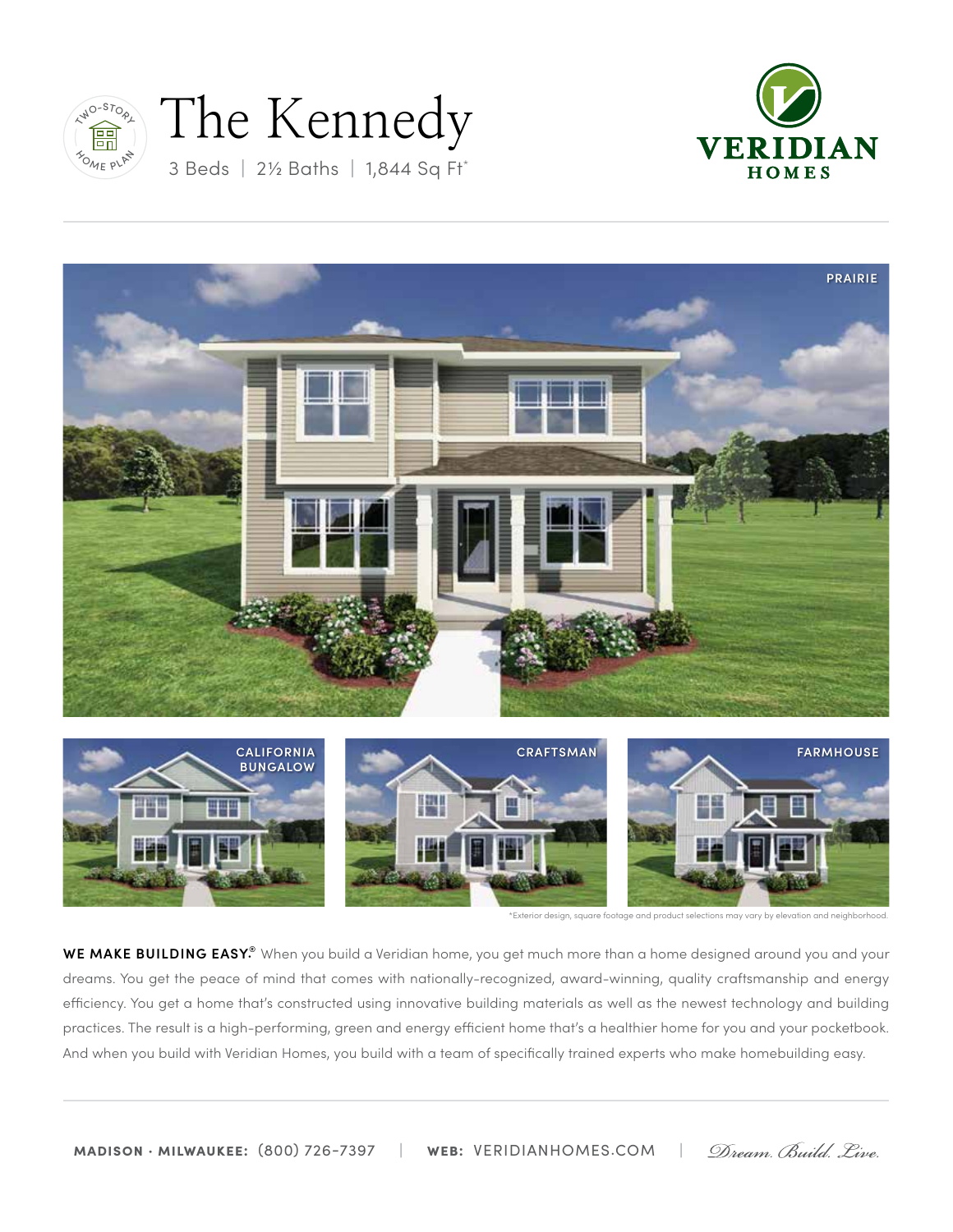

# 3 Beds **|** 2½ Baths **|** 1,844 Sq Ft\* The Kennedy







\*Exterior design, square footage and product selections may vary by elevation and neighborhood.

**WE MAKE BUILDING EASY.®** When you build a Veridian home, you get much more than a home designed around you and your dreams. You get the peace of mind that comes with nationally-recognized, award-winning, quality craftsmanship and energy efficiency. You get a home that's constructed using innovative building materials as well as the newest technology and building practices. The result is a high-performing, green and energy efficient home that's a healthier home for you and your pocketbook. And when you build with Veridian Homes, you build with a team of specifically trained experts who make homebuilding easy.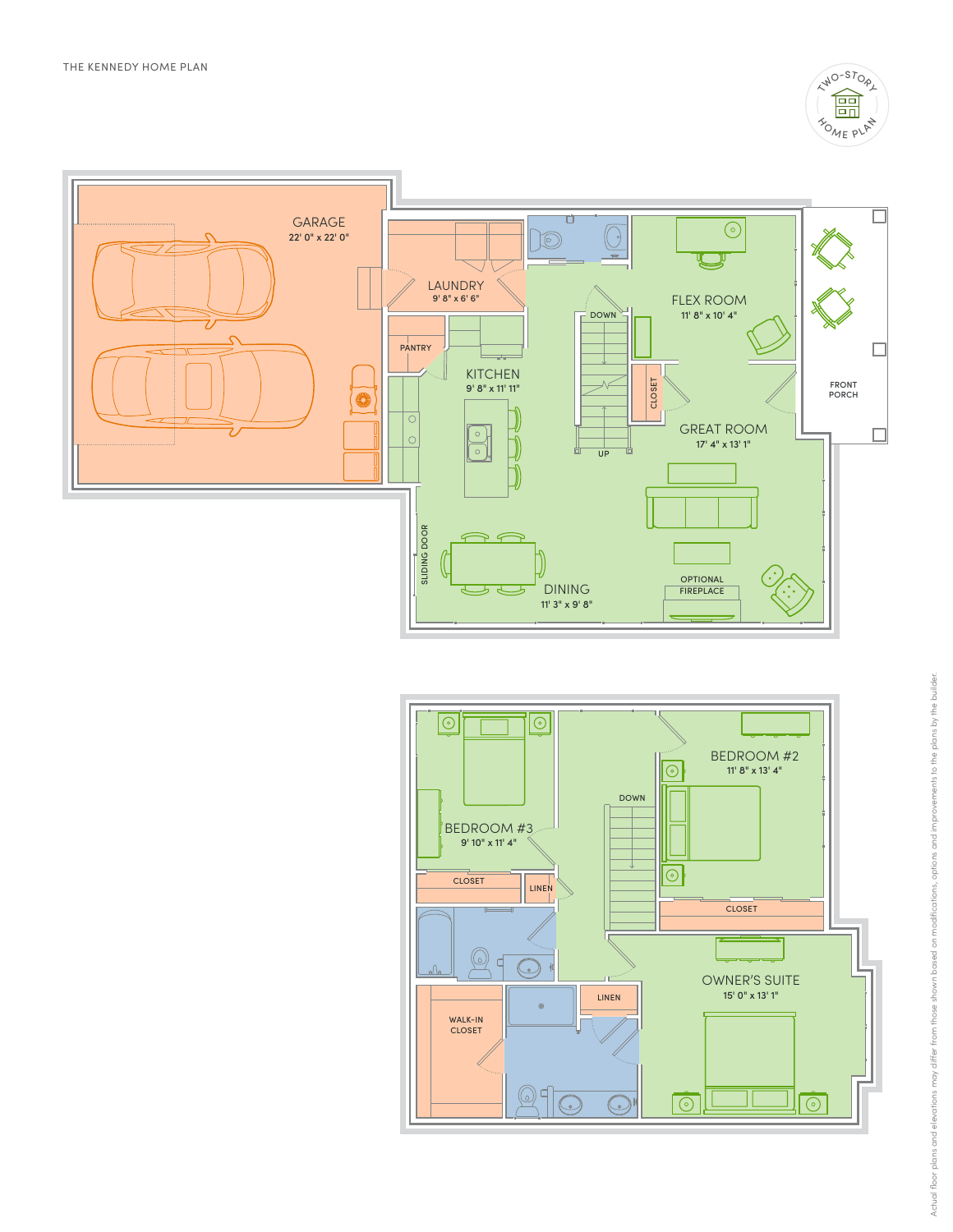



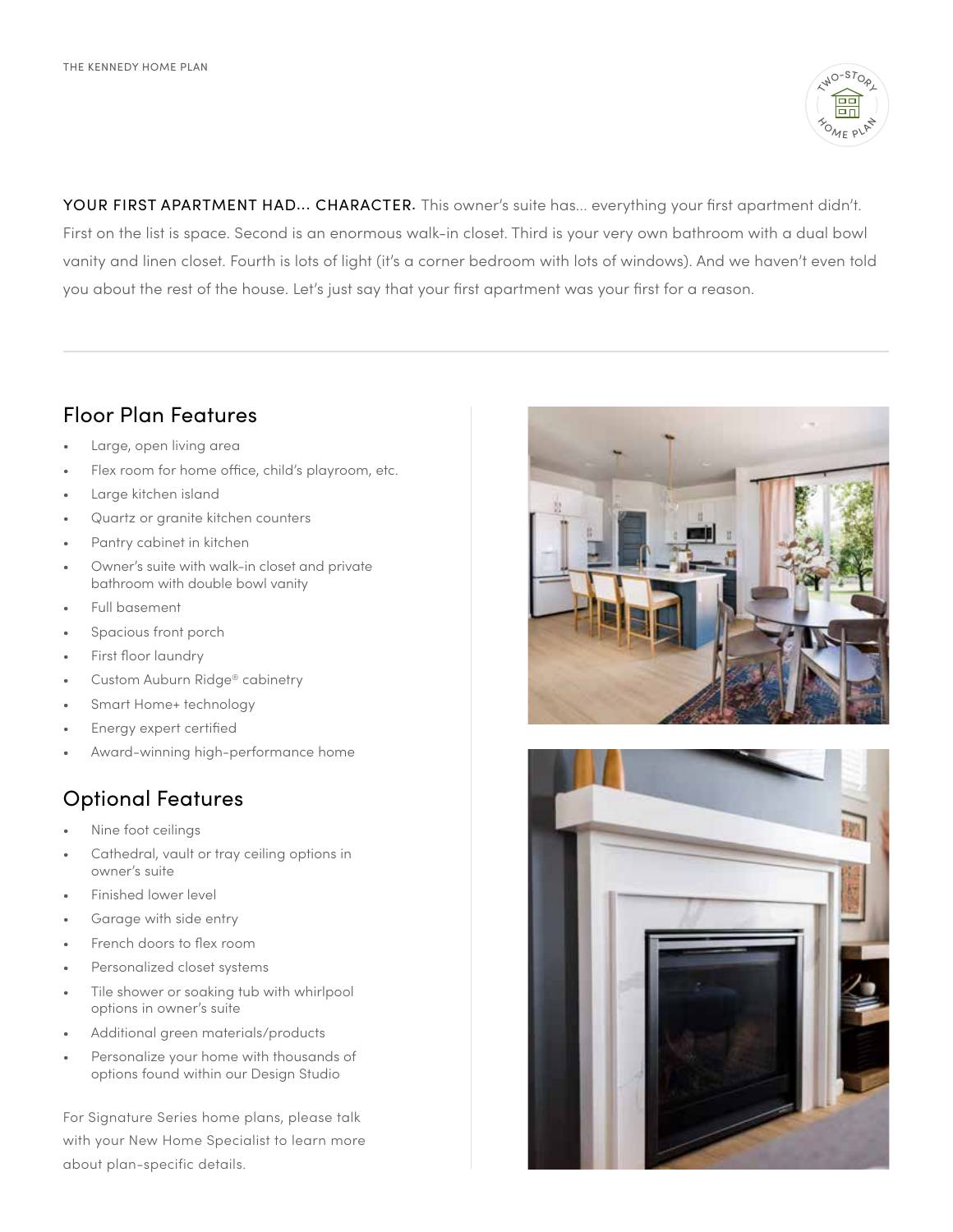

YOUR FIRST APARTMENT HAD... CHARACTER. This owner's suite has... everything your first apartment didn't. First on the list is space. Second is an enormous walk-in closet. Third is your very own bathroom with a dual bowl vanity and linen closet. Fourth is lots of light (it's a corner bedroom with lots of windows). And we haven't even told you about the rest of the house. Let's just say that your first apartment was your first for a reason.

## Floor Plan Features

- Large, open living area
- Flex room for home office, child's playroom, etc.
- Large kitchen island
- Quartz or granite kitchen counters
- Pantry cabinet in kitchen
- Owner's suite with walk-in closet and private bathroom with double bowl vanity
- Full basement
- Spacious front porch
- First floor laundry
- Custom Auburn Ridge® cabinetry
- Smart Home+ technology
- Energy expert certified
- Award-winning high-performance home

## Optional Features

- Nine foot ceilings
- Cathedral, vault or tray ceiling options in owner's suite
- Finished lower level
- Garage with side entry
- French doors to flex room
- Personalized closet systems
- Tile shower or soaking tub with whirlpool options in owner's suite
- Additional green materials/products
- Personalize your home with thousands of options found within our Design Studio

For Signature Series home plans, please talk with your New Home Specialist to learn more about plan-specific details.